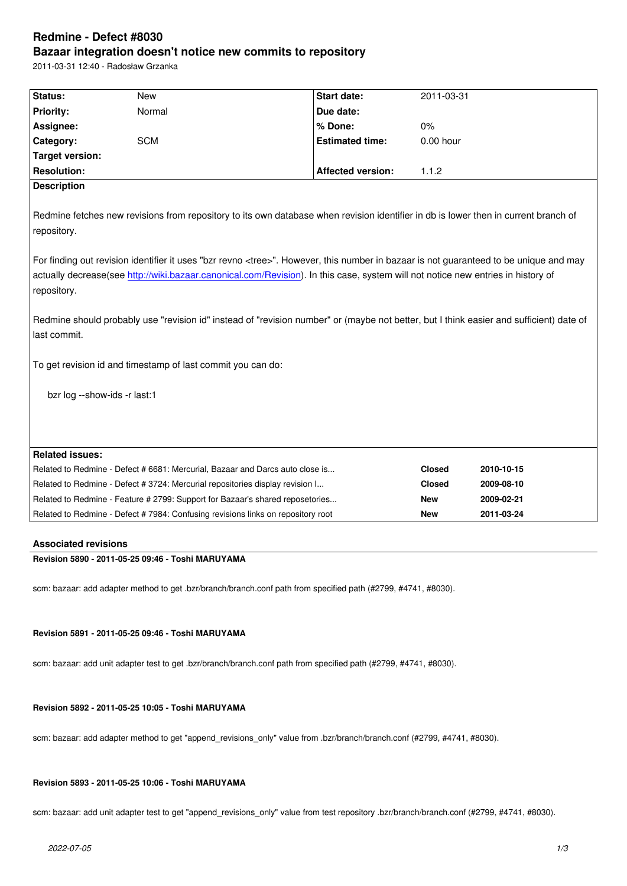#### **Bazaar integration doesn't notice new commits to repository**

2011-03-31 12:40 - Radosław Grzanka

| Status:                                                                          | <b>New</b>                                                                                                                                                                                                                                                                        |           | <b>Start date:</b>       | 2011-03-31    |            |  |
|----------------------------------------------------------------------------------|-----------------------------------------------------------------------------------------------------------------------------------------------------------------------------------------------------------------------------------------------------------------------------------|-----------|--------------------------|---------------|------------|--|
| <b>Priority:</b>                                                                 | Normal                                                                                                                                                                                                                                                                            | Due date: |                          |               |            |  |
| Assignee:                                                                        |                                                                                                                                                                                                                                                                                   | % Done:   |                          | 0%            |            |  |
| Category:                                                                        | <b>SCM</b>                                                                                                                                                                                                                                                                        |           | <b>Estimated time:</b>   | 0.00 hour     |            |  |
| <b>Target version:</b>                                                           |                                                                                                                                                                                                                                                                                   |           |                          |               |            |  |
| <b>Resolution:</b>                                                               |                                                                                                                                                                                                                                                                                   |           | <b>Affected version:</b> | 1.1.2         |            |  |
| <b>Description</b>                                                               |                                                                                                                                                                                                                                                                                   |           |                          |               |            |  |
|                                                                                  | Redmine fetches new revisions from repository to its own database when revision identifier in db is lower then in current branch of                                                                                                                                               |           |                          |               |            |  |
| repository.                                                                      |                                                                                                                                                                                                                                                                                   |           |                          |               |            |  |
| repository.                                                                      | For finding out revision identifier it uses "bzr revno <tree>". However, this number in bazaar is not guaranteed to be unique and may<br/>actually decrease(see http://wiki.bazaar.canonical.com/Revision). In this case, system will not notice new entries in history of</tree> |           |                          |               |            |  |
| last commit.                                                                     | Redmine should probably use "revision id" instead of "revision number" or (maybe not better, but I think easier and sufficient) date of                                                                                                                                           |           |                          |               |            |  |
|                                                                                  | To get revision id and timestamp of last commit you can do:                                                                                                                                                                                                                       |           |                          |               |            |  |
| bzr log --show-ids -r last:1                                                     |                                                                                                                                                                                                                                                                                   |           |                          |               |            |  |
|                                                                                  |                                                                                                                                                                                                                                                                                   |           |                          |               |            |  |
| <b>Related issues:</b>                                                           |                                                                                                                                                                                                                                                                                   |           |                          |               |            |  |
| Related to Redmine - Defect # 6681: Mercurial, Bazaar and Darcs auto close is    |                                                                                                                                                                                                                                                                                   |           |                          | <b>Closed</b> | 2010-10-15 |  |
| Related to Redmine - Defect # 3724: Mercurial repositories display revision I    |                                                                                                                                                                                                                                                                                   |           |                          | <b>Closed</b> | 2009-08-10 |  |
| Related to Redmine - Feature # 2799: Support for Bazaar's shared reposetories    |                                                                                                                                                                                                                                                                                   |           |                          | <b>New</b>    | 2009-02-21 |  |
| Related to Redmine - Defect # 7984: Confusing revisions links on repository root |                                                                                                                                                                                                                                                                                   |           |                          | <b>New</b>    | 2011-03-24 |  |
| <b>Associated revisions</b>                                                      |                                                                                                                                                                                                                                                                                   |           |                          |               |            |  |

# **Revision 5890 - 2011-05-25 09:46 - Toshi MARUYAMA**

scm: bazaar: add adapter method to get .bzr/branch/branch.conf path from specified path (#2799, #4741, #8030).

# **Revision 5891 - 2011-05-25 09:46 - Toshi MARUYAMA**

scm: bazaar: add unit adapter test to get .bzr/branch/branch.conf path from specified path (#2799, #4741, #8030).

# **Revision 5892 - 2011-05-25 10:05 - Toshi MARUYAMA**

scm: bazaar: add adapter method to get "append\_revisions\_only" value from .bzr/branch/branch.conf (#2799, #4741, #8030).

# **Revision 5893 - 2011-05-25 10:06 - Toshi MARUYAMA**

scm: bazaar: add unit adapter test to get "append\_revisions\_only" value from test repository .bzr/branch/branch.conf (#2799, #4741, #8030).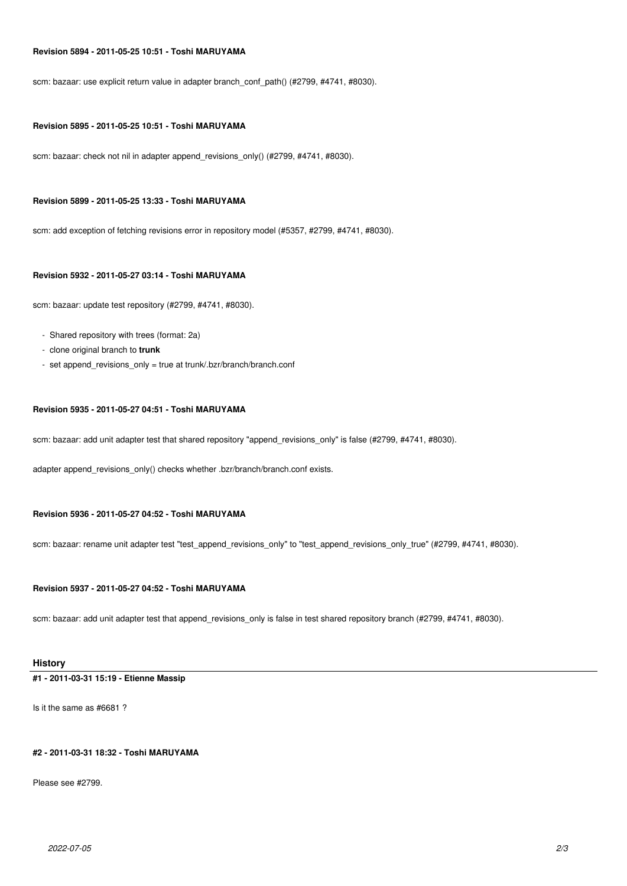# **Revision 5894 - 2011-05-25 10:51 - Toshi MARUYAMA**

scm: bazaar: use explicit return value in adapter branch\_conf\_path() (#2799, #4741, #8030).

#### **Revision 5895 - 2011-05-25 10:51 - Toshi MARUYAMA**

scm: bazaar: check not nil in adapter append\_revisions\_only() (#2799, #4741, #8030).

# **Revision 5899 - 2011-05-25 13:33 - Toshi MARUYAMA**

scm: add exception of fetching revisions error in repository model (#5357, #2799, #4741, #8030).

# **Revision 5932 - 2011-05-27 03:14 - Toshi MARUYAMA**

scm: bazaar: update test repository (#2799, #4741, #8030).

- Shared repository with trees (format: 2a)
- clone original branch to **trunk**
- set append revisions only = true at trunk/.bzr/branch/branch.conf

# **Revision 5935 - 2011-05-27 04:51 - Toshi MARUYAMA**

scm: bazaar: add unit adapter test that shared repository "append\_revisions\_only" is false (#2799, #4741, #8030).

adapter append revisions only() checks whether .bzr/branch/branch.conf exists.

#### **Revision 5936 - 2011-05-27 04:52 - Toshi MARUYAMA**

scm: bazaar: rename unit adapter test "test append revisions only" to "test append revisions only true" (#2799, #4741, #8030).

#### **Revision 5937 - 2011-05-27 04:52 - Toshi MARUYAMA**

scm: bazaar: add unit adapter test that append\_revisions\_only is false in test shared repository branch (#2799, #4741, #8030).

#### **History**

**#1 - 2011-03-31 15:19 - Etienne Massip**

Is it the same as #6681 ?

### **#2 - 2011-03-31 18:32 - Toshi MARUYAMA**

Please see #2799.